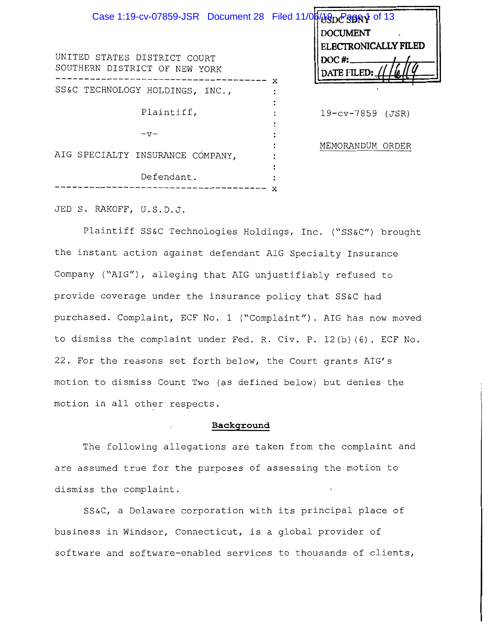| Case 1:19-cv-07859-JSR Document 28 Filed 11/0000000000000000013<br>UNITED STATES DISTRICT COURT<br>SOUTHERN DISTRICT OF NEW YORK | <b>DOCUMENT</b><br><b>ELECTRONICALLY FILED</b><br>$DOC$ #:<br>DATE FILED:<br>x |
|----------------------------------------------------------------------------------------------------------------------------------|--------------------------------------------------------------------------------|
| SS&C TECHNOLOGY HOLDINGS, INC.,                                                                                                  |                                                                                |
| Plaintiff,                                                                                                                       | 19-cv-7859 (JSR)                                                               |
| $-57-$                                                                                                                           |                                                                                |
| AIG SPECIALTY INSURANCE COMPANY,                                                                                                 | MEMORANDUM ORDER                                                               |
| Defendant.                                                                                                                       | x                                                                              |

JED S. RAKOFF, U.S.D.J.

Plaintiff SS&C Technologies Holdings, Inc. ("SS&C") brought the instant action against defendant AIG Specialty Insurance Company ("AIG"), alleging that AIG unjustifiably refused to provide coverage under the insurance policy that SS&C had purchased. Complaint, ECF No. 1 ("Complaint"). AIG has now moved to dismiss the complaint under Fed. R. Civ. P. 12(b) (6). ECF No. 22. For the reasons set forth below, the Court grants AIG's motion to dismiss Count Two (as defined below) but denies the motion in all other respects.

#### **Background**

The following allegations are taken from the complaint and are assumed true for the purposes of assessing the motion to dismiss the complaint.

SS&C, a Delaware corporation with its principal place of business in Windsor, Connecticut, is a global provider of software and software-enabled services to thousands of clients,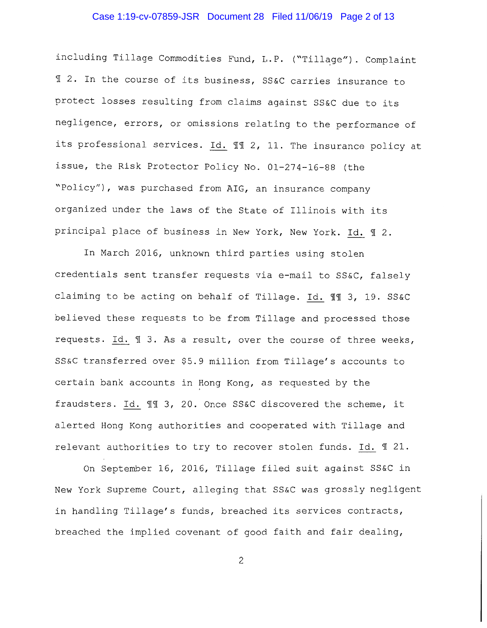#### Case 1:19-cv-07859-JSR Document 28 Filed 11/06/19 Page 2 of 13

including Tillage Commodities Fund, L.P. ("Tillage"). Complaint <sup>~</sup>2. In the course of its business, SS&C carries insurance to protect losses resulting from claims against SS&C due to its negligence, errors, or omissions relating to the performance of its professional services. Id. 11 2, 11. The insurance policy at issue, the Risk Protector Policy No. 01-274-16-88 (the "Policy"), was purchased from AIG, an insurance company organized under the laws of the State of Illinois with its principal place of business in New York, New York. Id. 1 2.

In March 2016, unknown third parties using stolen credentials sent transfer requests via e-mail to SS&C, falsely claiming to be acting on behalf of Tillage. Id. 11 3, 19. SS&C believed these requests to be from Tillage and processed those requests. Id.  $\mathbb I$  3. As a result, over the course of three weeks, SS&C transferred over \$5.9 million from Tillage's accounts to certain bank accounts in Hong Kong, as requested by the fraudsters. Id.  $\mathbb{H}$  3, 20. Once SS&C discovered the scheme, it alerted Hong Kong authorities and cooperated with Tillage and relevant authorities to try to recover stolen funds. Id. 1 21.

On September 16, 2016, Tillage filed suit against SS&C in New York Supreme Court, alleging that SS&C was grossly negligent in handling Tillage's funds, breached its services contracts, breached the implied covenant of good faith and fair dealing,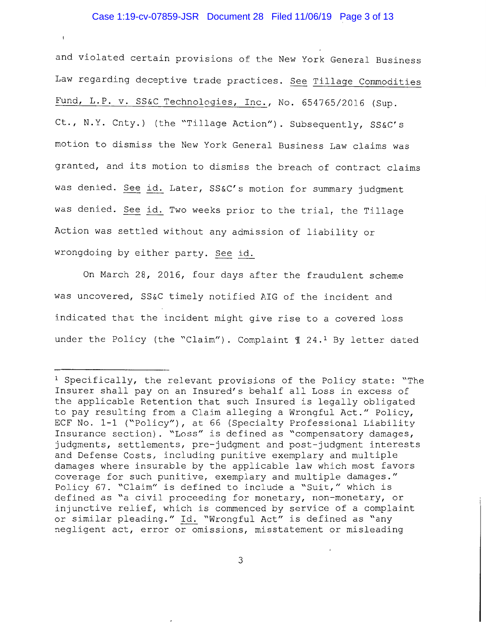## Case 1:19-cv-07859-JSR Document 28 Filed 11/06/19 Page 3 of 13

and violated certain provisions of the New York General Business Law regarding deceptive trade practices. See Tillage Commodities Fund, L.P. v. SS&C Technologies, Inc., No. 654765/2016 (Sup. Ct., N.Y. Cnty.) (the "Tillage Action"). Subsequently, SS&C's motion to dismiss the New York General Business Law claims was granted, and its motion to dismiss the breach of contract claims was denied. See id. Later, SS&C's motion for summary judgment was denied. See id. Two weeks prior to the trial, the Tillage Action was settled without any admission of liability or wrongdoing by either party. See id.

On March 28, 2016, four days after the fraudulent scheme was uncovered, SS&C timely notified AIG of the incident and indicated that the incident might give rise to a covered loss under the Policy (the "Claim"). Complaint  $\text{\textsterling}$  24.<sup>1</sup> By letter dated

<sup>&</sup>lt;sup>1</sup> Specifically, the relevant provisions of the Policy state: "The Insurer shall pay on an Insured's behalf all Loss in excess of the applicable Retention that such Insured is legally obligated to pay resulting from a Claim alleging a Wrongful Act." Policy, ECF No. 1-1 ("Policy"), at 66 (Specialty Professional Liability Insurance section). "Loss" is defined as "compensatory damages, judgments, settlements, pre-judgment and post-judgment interests and Defense Costs, including punitive exemplary and multiple damages where insurable by the applicable law which most favors coverage for such punitive, exemplary and multiple damages." Policy 67. "Claim" is defined to include a "Suit," which is defined as "a civil proceeding for monetary, non-monetary, or injunctive relief, which is commenced by service of a complaint or similar pleading." Id. "Wrongful Act" is defined as "any negligent act, error or omissions, misstatement or misleading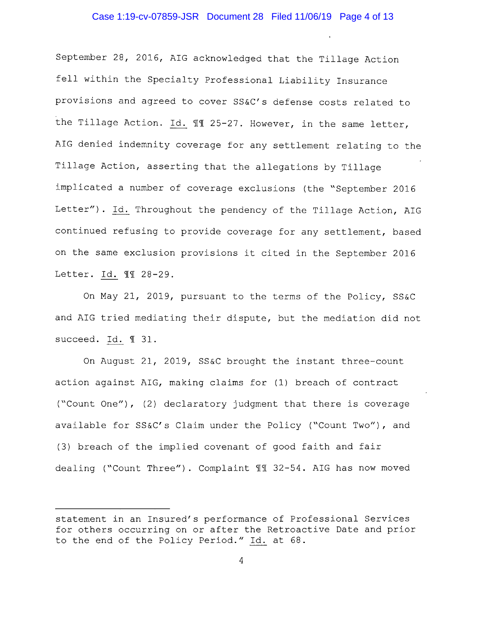## Case 1:19-cv-07859-JSR Document 28 Filed 11/06/19 Page 4 of 13

September 28, 2016, AIG acknowledged that the Tillage Action fell within the Specialty Professional Liability Insurance provisions and agreed to cover SS&C's defense costs related to the Tillage Action. Id. 11 25-27. However, in the same letter, AIG denied indemnity coverage for any settlement relating to the Tillage Action, asserting that the allegations by Tillage implicated a number of coverage exclusions (the "September 2016 Letter"). Id. Throughout the pendency of the Tillage Action, AIG continued refusing to provide coverage for any settlement, based on the same exclusion provisions it cited in the September 2016 Letter. Id. 11 28-29.

On May 21, 2019, pursuant to the terms of the Policy, SS&C and AIG tried mediating their dispute, but the mediation did not succeed. Id. 1 31.

On August 21, 2019, SS&C brought the instant three-count action against AIG, making claims for (1) breach of contract ("Count One"), (2) declaratory judgment that there is coverage available for SS&C's Claim under the Policy ("Count Two"), and (3) breach of the implied covenant of good faith and fair dealing ("Count Three"). Complaint 11 32-54. AIG has now moved

statement in an Insured's performance of Professional Services for others occurring on or after the Retroactive Date and prior to the end of the Policy Period." Id. at 68.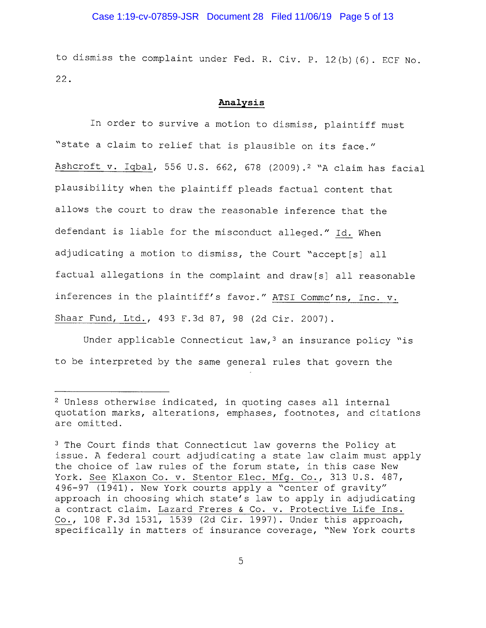## Case 1:19-cv-07859-JSR Document 28 Filed 11/06/19 Page 5 of 13

to dismiss the complaint under Fed. R. Civ. P. 12(b) (6). ECF No. 22.

#### **Analysis**

In order to survive a motion to dismiss, plaintiff must "state a claim to relief that is plausible on its face." Ashcroft v. Iqbal, 556 U.S. 662, 678 (2009).<sup>2</sup> "A claim has facial plausibility when the plaintiff pleads factual content that allows the court to draw the reasonable inference that the defendant is liable for the misconduct alleged." Id. When adjudicating a motion to dismiss, the Court "accept[s] all factual allegations in the complaint and draw[s] all reasonable inferences in the plaintiff's favor." ATSI Commc'ns, Inc. v. Shaar Fund, Ltd., 493 F.3d 87, 98 (2d Cir. 2007).

Under applicable Connecticut  $law<sub>t</sub>$ <sup>3</sup> an insurance policy "is to be interpreted by the same general rules that govern the

 $2$  Unless otherwise indicated, in quoting cases all internal quotation marks, alterations, emphases, footnotes, and citations are omitted.

<sup>&</sup>lt;sup>3</sup> The Court finds that Connecticut law governs the Policy at issue. A federal court adjudicating a state law claim must apply the choice of law rules of the forum state, in this case New York. See Klaxon Co. v. Stentor Elec. Mfg. Co., 313 U.S. 487, 496-97 (1941). New York courts apply a "center of gravity" approach in choosing which state's law to apply in adjudicating a contract claim. Lazard Freres & Co. v. Protective Life Ins. Co., 108 F.3d 1531, 1539 (2d Cir. 1997). Under this approach, specifically in matters of insurance coverage, "New York courts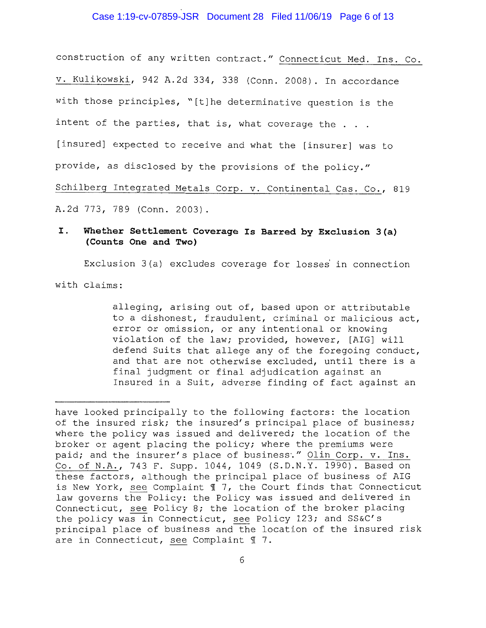#### Case 1:19-cv-07859-JSR Document 28 Filed 11/06/19 Page 6 of 13

construction of any written contract." Connecticut Med. Ins. Co. v. Kulikowski, 942 A.2d 334, 338 (Conn. 2008). In accordance with those principles, "[t]he determinative question is the intent of the parties, that is, what coverage the . . . [insured] expected to receive and what the [insurer] was to provide, as disclosed by the provisions of the policy." Schilberg Integrated Metals Corp. v. Continental Cas. Co., 819 A.2d 773, 789 (Conn. 2003).

# **I. Whether Settlement Coverage Is Barred by Exclusion 3(a) (Counts One and Two)**

Exclusion 3(a) excludes coverage for losses in connection

with claims:

alleging, arising out of, based upon or attributable to a dishonest, fraudulent, criminal or malicious act, error or omission, or any intentional or knowing violation of the law; provided, however, [AIG] **will**  defend Suits that allege any of the foregoing conduct, and that are not otherwise excluded, until there is a final judgment or final adjudication against an Insured in a Suit, adverse finding of fact against an

have looked principally to the following factors: the location of the insured risk; the insured's principal place of business; where the policy was issued and delivered; the location of the broker or agent placing the policy; where the premiums were paid; and the insurer's place of business." Olin Corp. v. Ins. Co. of N.A., 743 F. Supp. 1044, 1049 (S.D.N.Y. 1990). Based on these factors, although the principal place of business of AIG is New York, see Complaint **i** 7, the Court finds that Connecticut law governs the Policy: the Policy was issued and delivered in Connecticut, see Policy 8; the location of the broker placing the policy was in Connecticut, see Policy 123; and SS&C's principal place of business and the location of the insured risk are in Connecticut, see Complaint  $\mathbb I$  7.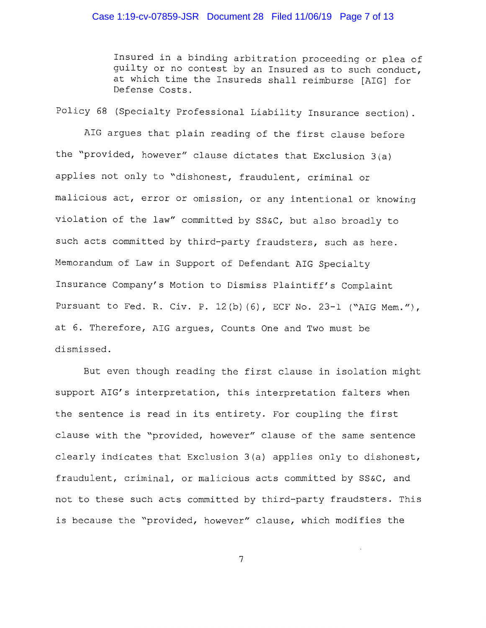## Case 1:19-cv-07859-JSR Document 28 Filed 11/06/19 Page 7 of 13

Insured in a binding arbitration proceeding or plea of guilty or no contest by an Insured as to such conduct, at which time the Insureds shall reimburse [AIG] for Defense Costs.

Policy 68 (Specialty Professional Liability Insurance section).

AIG argues that plain reading of the first clause before the "provided, however" clause dictates that Exclusion 3(a) applies not only to "dishonest, fraudulent, criminal or malicious act, error or omission, or any intentional or knowing violation of the law" committed by SS&C, but also broadly to such acts committed by third-party fraudsters, such as here. Memorandum of Law in Support of Defendant AIG Specialty Insurance Company's Motion to Dismiss Plaintiff's Complaint Pursuant to Fed. R. Civ. P. 12(b) (6), ECF No. 23-1 ("AIG Mem."), at 6. Therefore, AIG argues, Counts One and Two must be dismissed.

But even though reading the first clause in isolation might support AIG's interpretation, this interpretation falters when the sentence is read in its entirety. For coupling the first clause with the "provided, however" clause of the same sentence clearly indicates that Exclusion 3(a) applies only to dishonest, fraudulent, criminal, or malicious acts committed by SS&C, and not to these such acts committed by third-party fraudsters. This is because the "provided, however" clause, which modifies the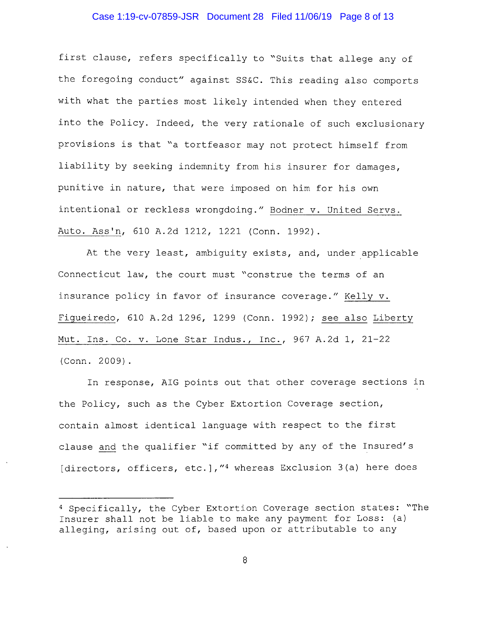## Case 1:19-cv-07859-JSR Document 28 Filed 11/06/19 Page 8 of 13

first clause, refers specifically to "Suits that allege any of the foregoing conduct" against SS&C. This reading also comports with what the parties most likely intended when they entered into the Policy. Indeed, the very rationale of such exclusionary provisions is that "a tortfeasor may not protect himself from liability by seeking indemnity from his insurer for damages, punitive in nature, that were imposed on him for his own intentional or reckless wrongdoing." Bodner v. United Servs. Auto. Ass'n, 610 A.2d 1212, 1221 (Conn. 1992).

At the very least, ambiguity exists, and, under applicable Connecticut law, the court must "construe the terms of an insurance policy in favor of insurance coverage." Kelly v. Figueiredo, 610 A.2d 1296, 1299 (Conn. 1992); see also Liberty Mut. Ins. Co. v. Lone Star Indus., Inc., 967 A.2d 1, 21-22 (Conn. 2009).

In response, AIG points out that other coverage sections in the Policy, such as the Cyber Extortion Coverage section, contain almost identical language with respect to the first clause and the qualifier "if committed by any of the Insured's [directors, officers, etc.], "4 whereas Exclusion 3(a) here does

<sup>4</sup> Specifically, the Cyber Extortion Coverage section states: "The Insurer shall not be liable to make any payment for Loss: (a) alleging, arising out of, based upon or attributable to any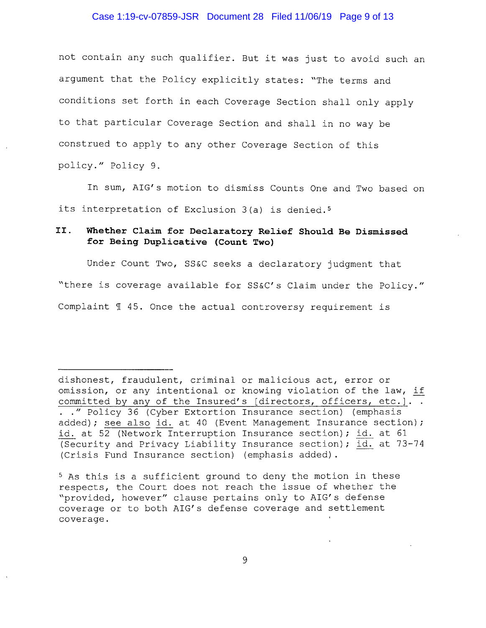## Case 1:19-cv-07859-JSR Document 28 Filed 11/06/19 Page 9 of 13

not contain any such qualifier. But it was just to avoid such an argument that the Policy explicitly states: "The terms and conditions set forth in each Coverage Section shall only apply to that particular Coverage Section and shall in no way be construed to apply to any other Coverage Section of this policy." Policy 9.

In sum, AIG's motion to dismiss Counts One and Two based on its interpretation of Exclusion 3(a) is denied. <sup>5</sup>

# II. **Whether Claim for Declaratory Relief Should Be Dismissed for Being Duplicative (Count Two)**

Under Count Two, SS&C seeks a declaratory judgment that "there is coverage available for SS&C's Claim under the Policy." Complaint  $\mathcal I$  45. Once the actual controversy requirement is

dishonest, fraudulent, criminal or malicious act, error or omission, or any intentional or knowing violation of the law, if committed by any of the Insured's [directors, officers, etc.].. . " Policy 36 (Cyber Extortion Insurance section) (emphasis added); see also id. at 40 (Event Management Insurance section); id. at 52 (Network Interruption Insurance section); id. at 61 (Security and Privacy Liability Insurance section); id. at 73-74 (Crisis Fund Insurance section) (emphasis added).

<sup>5</sup>As this is a sufficient ground to deny the motion in these respects, the Court does not reach the issue of whether the "provided, however" clause pertains only to AIG's defense coverage or to both AIG's defense coverage and settlement coverage.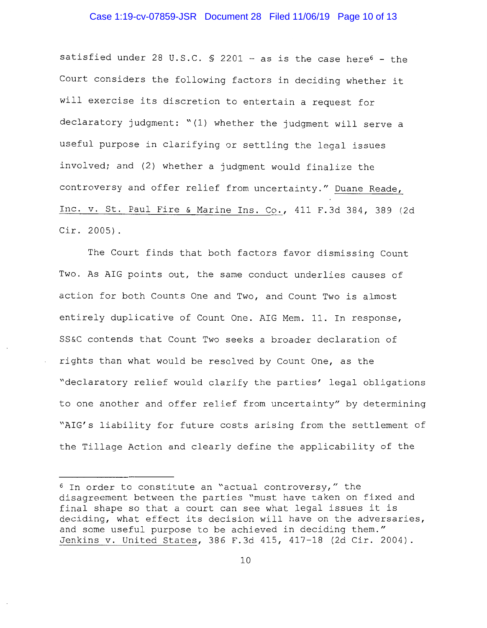#### Case 1:19-cv-07859-JSR Document 28 Filed 11/06/19 Page 10 of 13

satisfied under 28 U.S.C.  $S$  2201 - as is the case here<sup>6</sup> - the Court considers the following factors in deciding whether it will exercise its discretion to entertain a request for declaratory judgment: "(1) whether the judgment **will** serve a useful purpose in clarifying or settling the legal issues involved; and (2) whether a judgment would finalize the controversy and offer relief from uncertainty." Duane Reade, Inc. v. St. Paul Fire & Marine Ins. Co., 411 F.3d 384, 389 (2d Cir. 2005).

The Court finds that both factors favor dismissing Count Two. As AIG points out, the same conduct underlies causes of action for both Counts One and Two, and Count Two is almost entirely duplicative of Count One. AIG Mem. 11. In response, SS&C contends that Count Two seeks a broader declaration of rights than what would be resolved by Count One, as the "declaratory relief would clarify the parties' legal obligations to one another and offer relief from uncertainty" by determining "AIG's liability for future costs arising from the settlement of the Tillage Action and clearly define the applicability of the

<sup>6</sup> In order to constitute an "actual controversy," the disagreement between the parties "must have taken on fixed and final shape so that a court can see what legal issues it is deciding, what effect its decision will have on the adversaries, and some useful purpose to be achieved **in** deciding them." Jenkins v. United States, 386 F.3d 415, 417-18 (2d Cir. 2004).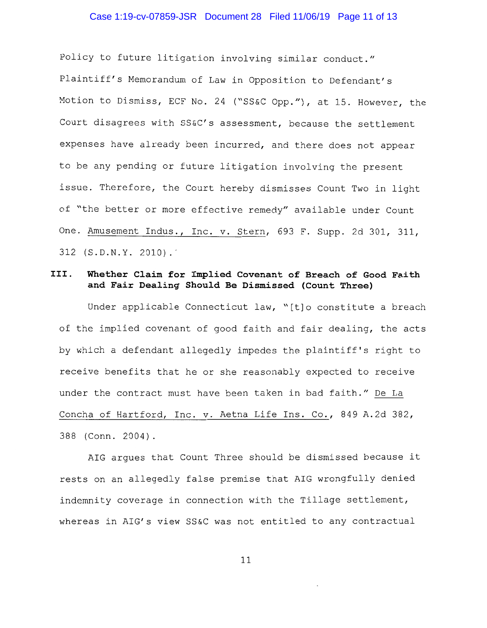#### Case 1:19-cv-07859-JSR Document 28 Filed 11/06/19 Page 11 of 13

Policy to future litigation involving similar conduct." Plaintiff's Memorandum of Law in Opposition to Defendant's Motion to Dismiss, ECF No. 24 ("SS&C Opp."), at 15. However, the Court disagrees with SS&C's assessment, because the settlement expenses have already been incurred, and there does not appear to be any pending or future litigation involving the present issue. Therefore, the Court hereby dismisses Count Two in light of "the better or more effective remedy" available under Count One. Amusement Indus., Inc. v. Stern, 693 F. Supp. 2d 301, 311,  $312$  (S.D.N.Y. 2010).

## **III. Whether Claim for Implied Covenant of Breach of Good Faith and Fair Dealing Should Be Dismissed (Count Three)**

Under applicable Connecticut law, "[t]o constitute a breach of the implied covenant of good faith and fair dealing, the acts by which a defendant allegedly impedes the plaintiff's right to receive benefits that he or she reasonably expected to receive under the contract must have been taken in bad faith." De La Concha of Hartford, Inc. v. Aetna Life Ins. Co., 849 A.2d 382, 388 (Conn. 2004).

AIG argues that Count Three should be dismissed because it rests on an allegedly false premise that AIG wrongfully denied indemnity coverage in connection with the Tillage settlement, whereas in AIG's view SS&C was not entitled to any contractual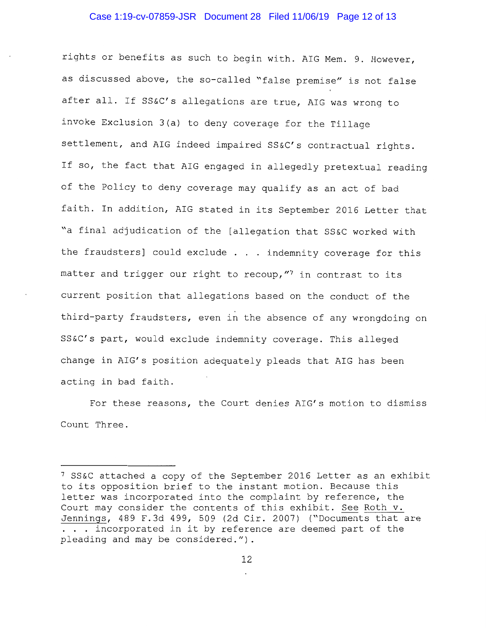## Case 1:19-cv-07859-JSR Document 28 Filed 11/06/19 Page 12 of 13

rights or benefits as such to begin with. AIG Mem. 9. However, as discussed above, the so-called "false premise" is not false after all. If SS&C's allegations are true, AIG was wrong to invoke Exclusion 3(a) to deny coverage for the Tillage settlement, and AIG indeed impaired SS&C's contractual rights. If so, the fact that AIG engaged in allegedly pretextual reading of the Policy to deny coverage may qualify as an act of bad faith. In addition, AIG stated in its September 2016 Letter that "a final adjudication of the [allegation that SS&C worked with the fraudsters] could exclude . . indemnity coverage for this matter and trigger our right to recoup,  $''$  in contrast to its current position that allegations based on the conduct of the third-party fraudsters, even in the absence of any wrongdoing on SS&C's part, would exclude indemnity coverage. This alleged change in AIG's position adequately pleads that AIG has been acting in bad faith.

For these reasons, the Court denies AIG's motion to dismiss Count Three.

<sup>7</sup>SS&C attached a copy of the September 2016 Letter as an exhibit to its opposition brief to the instant motion. Because this letter was incorporated into the complaint by reference, the Court may consider the contents of this exhibit. See Roth v. Jennings, 489 F.3d 499, 509 (2d Cir. 2007) ("Documents that are ... incorporated in it by reference are deemed part of the pleading and may be considered.").